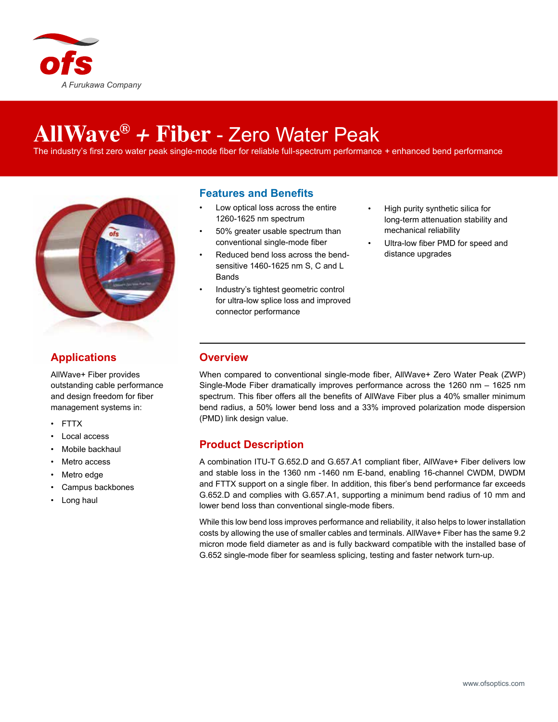

# **AllWave®** *+* **Fiber** - Zero Water Peak

The industry's first zero water peak single-mode fiber for reliable full-spectrum performance *+* enhanced bend performance



## **Applications**

AllWave+ Fiber provides outstanding cable performance and design freedom for fiber management systems in:

- FTTX
- Local access
- Mobile backhaul
- Metro access
- Metro edge
- Campus backbones
- Long haul

#### **Features and Benefits**

- Low optical loss across the entire 1260-1625 nm spectrum
- 50% greater usable spectrum than conventional single-mode fiber
- Reduced bend loss across the bendsensitive 1460-1625 nm S, C and L Bands
- Industry's tightest geometric control for ultra-low splice loss and improved connector performance
- High purity synthetic silica for long-term attenuation stability and mechanical reliability
- Ultra-low fiber PMD for speed and distance upgrades

#### **Overview**

When compared to conventional single-mode fiber, AllWave+ Zero Water Peak (ZWP) Single-Mode Fiber dramatically improves performance across the 1260 nm – 1625 nm spectrum. This fiber offers all the benefits of AllWave Fiber plus a 40% smaller minimum bend radius, a 50% lower bend loss and a 33% improved polarization mode dispersion (PMD) link design value.

### **Product Description**

A combination ITU-T G.652.D and G.657.A1 compliant fiber, AllWave+ Fiber delivers low and stable loss in the 1360 nm -1460 nm E-band, enabling 16-channel CWDM, DWDM and FTTX support on a single fiber. In addition, this fiber's bend performance far exceeds G.652.D and complies with G.657.A1, supporting a minimum bend radius of 10 mm and lower bend loss than conventional single-mode fibers.

While this low bend loss improves performance and reliability, it also helps to lower installation costs by allowing the use of smaller cables and terminals. AllWave+ Fiber has the same 9.2 micron mode field diameter as and is fully backward compatible with the installed base of G.652 single-mode fiber for seamless splicing, testing and faster network turn-up.